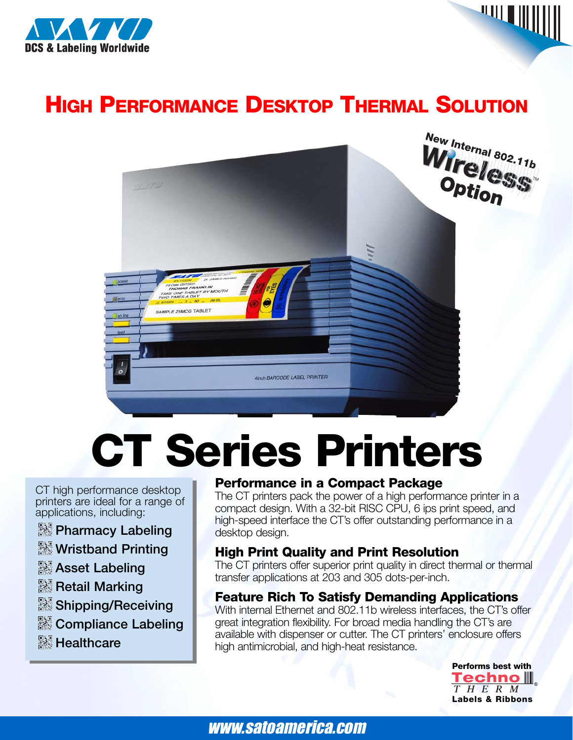

### **HIGH PERFORMANCE DESKTOP THERMAL SOLUTION**



# **CT Series Printers**

CT high performance desktop printers are ideal for a range of applications, including:

- **Pharmacy Labeling**
- **Wristband Printing**
- **Asset Labeling**
- **Retail Marking**
- **Shipping/Receiving**
- **Exampliance Labeling**
- **& Healthcare**

#### **Performance in a Compact Package**

The CT printers pack the power of a high performance printer in a compact design. With a 32-bit RISC CPU, 6 ips print speed, and high-speed interface the CT's offer outstanding performance in a desktop design.

#### **High Print Quality and Print Resolution**

The CT printers offer superior print quality in direct thermal or thermal transfer applications at 203 and 305 dots-per-inch.

### **Feature Rich To Satisfy Demanding Applications**

With internal Ethernet and 802.11b wireless interfaces, the CT's offer great integration flexibility. For broad media handling the CT's are available with dispenser or cutter. The CT printers' enclosure offers high antimicrobial, and high-heat resistance.

> **Performs best with Techno** III THERM **Labels & Ribbons**